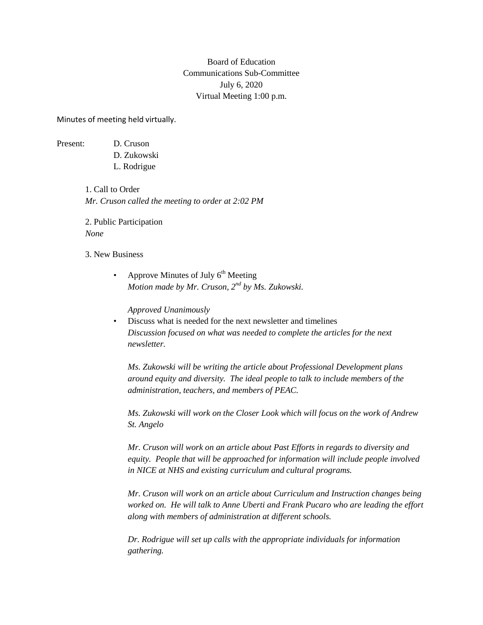## Board of Education Communications Sub-Committee July 6, 2020 Virtual Meeting 1:00 p.m.

Minutes of meeting held virtually.

Present: D. Cruson

D. Zukowski

L. Rodrigue

1. Call to Order *Mr. Cruson called the meeting to order at 2:02 PM*

2. Public Participation *None*

3. New Business

Approve Minutes of July  $6<sup>th</sup>$  Meeting *Motion made by Mr. Cruson, 2nd by Ms. Zukowski.*

*Approved Unanimously*

• Discuss what is needed for the next newsletter and timelines *Discussion focused on what was needed to complete the articles for the next newsletter.*

*Ms. Zukowski will be writing the article about Professional Development plans around equity and diversity. The ideal people to talk to include members of the administration, teachers, and members of PEAC.*

*Ms. Zukowski will work on the Closer Look which will focus on the work of Andrew St. Angelo*

*Mr. Cruson will work on an article about Past Efforts in regards to diversity and equity. People that will be approached for information will include people involved in NICE at NHS and existing curriculum and cultural programs.*

*Mr. Cruson will work on an article about Curriculum and Instruction changes being worked on. He will talk to Anne Uberti and Frank Pucaro who are leading the effort along with members of administration at different schools.*

*Dr. Rodrigue will set up calls with the appropriate individuals for information gathering.*